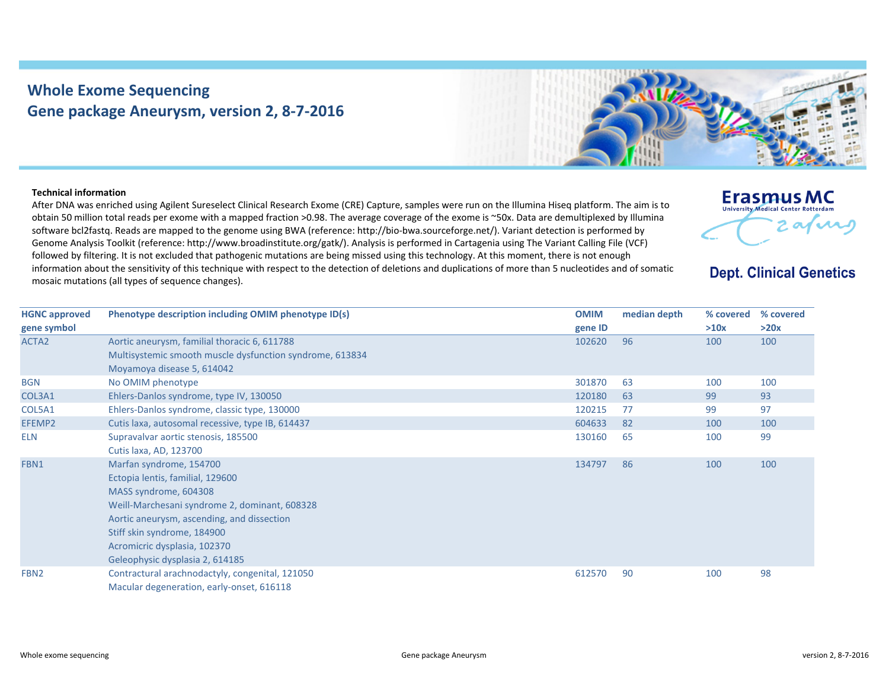## **Whole Exome Sequencing Gene package Aneurysm, version 2, 8‐7‐2016**



## **Technical information**

After DNA was enriched using Agilent Sureselect Clinical Research Exome (CRE) Capture, samples were run on the Illumina Hiseq platform. The aim is to obtain 50 million total reads per exome with <sup>a</sup> mapped fraction >0.98. The average coverage of the exome is ~50x. Data are demultiplexed by Illumina software bcl2fastq. Reads are mapped to the genome using BWA (reference: http://bio‐bwa.sourceforge.net/). Variant detection is performed by Genome Analysis Toolkit (reference: http://www.broadinstitute.org/gatk/). Analysis is performed in Cartagenia using The Variant Calling File (VCF) followed by filtering. It is not excluded that pathogenic mutations are being missed using this technology. At this moment, there is not enough information about the sensitivity of this technique with respect to the detection of deletions and duplications of more than 5 nucleotides and of somatic mosaic mutations (all types of sequence changes).



## **Dept. Clinical Genetics**

| <b>HGNC approved</b> | Phenotype description including OMIM phenotype ID(s)     | <b>OMIM</b> | median depth | % covered | % covered |
|----------------------|----------------------------------------------------------|-------------|--------------|-----------|-----------|
| gene symbol          |                                                          | gene ID     |              | >10x      | >20x      |
| ACTA <sub>2</sub>    | Aortic aneurysm, familial thoracic 6, 611788             | 102620      | 96           | 100       | 100       |
|                      | Multisystemic smooth muscle dysfunction syndrome, 613834 |             |              |           |           |
|                      | Moyamoya disease 5, 614042                               |             |              |           |           |
| <b>BGN</b>           | No OMIM phenotype                                        | 301870      | 63           | 100       | 100       |
| COL3A1               | Ehlers-Danlos syndrome, type IV, 130050                  | 120180      | 63           | 99        | 93        |
| COL5A1               | Ehlers-Danlos syndrome, classic type, 130000             | 120215      | 77           | 99        | 97        |
| EFEMP2               | Cutis laxa, autosomal recessive, type IB, 614437         | 604633      | 82           | 100       | 100       |
| <b>ELN</b>           | Supravalvar aortic stenosis, 185500                      | 130160      | 65           | 100       | 99        |
|                      | Cutis laxa, AD, 123700                                   |             |              |           |           |
| FBN1                 | Marfan syndrome, 154700                                  | 134797      | 86           | 100       | 100       |
|                      | Ectopia lentis, familial, 129600                         |             |              |           |           |
|                      | MASS syndrome, 604308                                    |             |              |           |           |
|                      | Weill-Marchesani syndrome 2, dominant, 608328            |             |              |           |           |
|                      | Aortic aneurysm, ascending, and dissection               |             |              |           |           |
|                      | Stiff skin syndrome, 184900                              |             |              |           |           |
|                      | Acromicric dysplasia, 102370                             |             |              |           |           |
|                      | Geleophysic dysplasia 2, 614185                          |             |              |           |           |
| FBN <sub>2</sub>     | Contractural arachnodactyly, congenital, 121050          | 612570      | 90           | 100       | 98        |
|                      | Macular degeneration, early-onset, 616118                |             |              |           |           |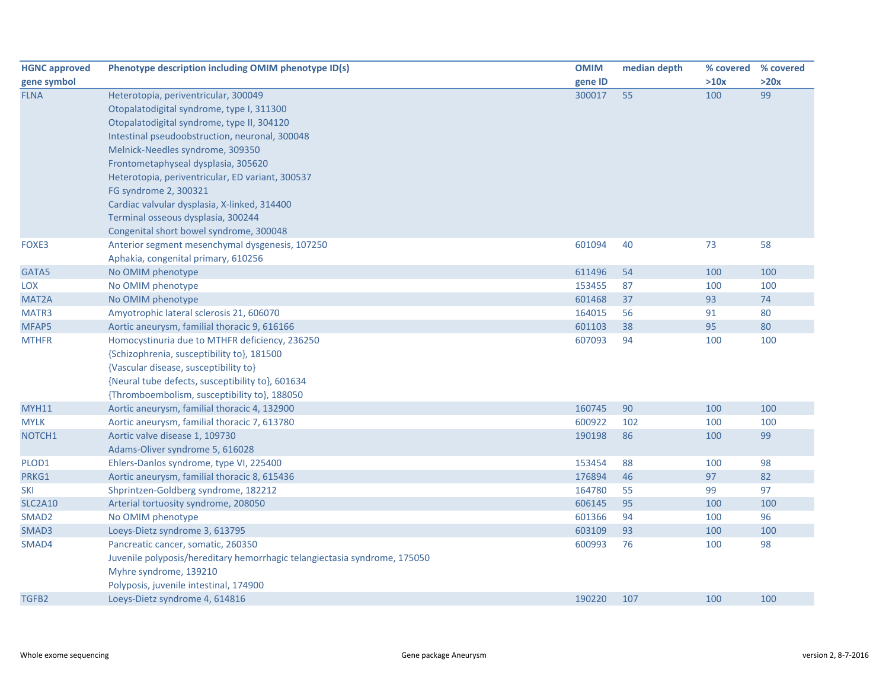| <b>HGNC approved</b> | Phenotype description including OMIM phenotype ID(s)                      | <b>OMIM</b> | median depth | % covered | % covered |
|----------------------|---------------------------------------------------------------------------|-------------|--------------|-----------|-----------|
| gene symbol          |                                                                           | gene ID     |              | >10x      | >20x      |
| <b>FLNA</b>          | Heterotopia, periventricular, 300049                                      | 300017      | 55           | 100       | 99        |
|                      | Otopalatodigital syndrome, type I, 311300                                 |             |              |           |           |
|                      | Otopalatodigital syndrome, type II, 304120                                |             |              |           |           |
|                      | Intestinal pseudoobstruction, neuronal, 300048                            |             |              |           |           |
|                      | Melnick-Needles syndrome, 309350                                          |             |              |           |           |
|                      | Frontometaphyseal dysplasia, 305620                                       |             |              |           |           |
|                      | Heterotopia, periventricular, ED variant, 300537                          |             |              |           |           |
|                      | FG syndrome 2, 300321                                                     |             |              |           |           |
|                      | Cardiac valvular dysplasia, X-linked, 314400                              |             |              |           |           |
|                      | Terminal osseous dysplasia, 300244                                        |             |              |           |           |
|                      | Congenital short bowel syndrome, 300048                                   |             |              |           |           |
| FOXE3                | Anterior segment mesenchymal dysgenesis, 107250                           | 601094      | 40           | 73        | 58        |
|                      | Aphakia, congenital primary, 610256                                       |             |              |           |           |
| GATA5                | No OMIM phenotype                                                         | 611496      | 54           | 100       | 100       |
| LOX                  | No OMIM phenotype                                                         | 153455      | 87           | 100       | 100       |
| MAT <sub>2</sub> A   | No OMIM phenotype                                                         | 601468      | 37           | 93        | 74        |
| MATR3                | Amyotrophic lateral sclerosis 21, 606070                                  | 164015      | 56           | 91        | 80        |
| MFAP5                | Aortic aneurysm, familial thoracic 9, 616166                              | 601103      | 38           | 95        | 80        |
| <b>MTHFR</b>         | Homocystinuria due to MTHFR deficiency, 236250                            | 607093      | 94           | 100       | 100       |
|                      | {Schizophrenia, susceptibility to}, 181500                                |             |              |           |           |
|                      | {Vascular disease, susceptibility to}                                     |             |              |           |           |
|                      | {Neural tube defects, susceptibility to}, 601634                          |             |              |           |           |
|                      | {Thromboembolism, susceptibility to}, 188050                              |             |              |           |           |
| <b>MYH11</b>         | Aortic aneurysm, familial thoracic 4, 132900                              | 160745      | 90           | 100       | 100       |
| <b>MYLK</b>          | Aortic aneurysm, familial thoracic 7, 613780                              | 600922      | 102          | 100       | 100       |
| NOTCH1               | Aortic valve disease 1, 109730                                            | 190198      | 86           | 100       | 99        |
|                      | Adams-Oliver syndrome 5, 616028                                           |             |              |           |           |
| PLOD1                | Ehlers-Danlos syndrome, type VI, 225400                                   | 153454      | 88           | 100       | 98        |
| PRKG1                | Aortic aneurysm, familial thoracic 8, 615436                              | 176894      | 46           | 97        | 82        |
| <b>SKI</b>           | Shprintzen-Goldberg syndrome, 182212                                      | 164780      | 55           | 99        | 97        |
| <b>SLC2A10</b>       | Arterial tortuosity syndrome, 208050                                      | 606145      | 95           | 100       | 100       |
| SMAD <sub>2</sub>    | No OMIM phenotype                                                         | 601366      | 94           | 100       | 96        |
| SMAD3                | Loeys-Dietz syndrome 3, 613795                                            | 603109      | 93           | 100       | 100       |
| SMAD4                | Pancreatic cancer, somatic, 260350                                        | 600993      | 76           | 100       | 98        |
|                      | Juvenile polyposis/hereditary hemorrhagic telangiectasia syndrome, 175050 |             |              |           |           |
|                      | Myhre syndrome, 139210                                                    |             |              |           |           |
|                      | Polyposis, juvenile intestinal, 174900                                    |             |              |           |           |
| TGFB2                | Loeys-Dietz syndrome 4, 614816                                            | 190220      | 107          | 100       | 100       |